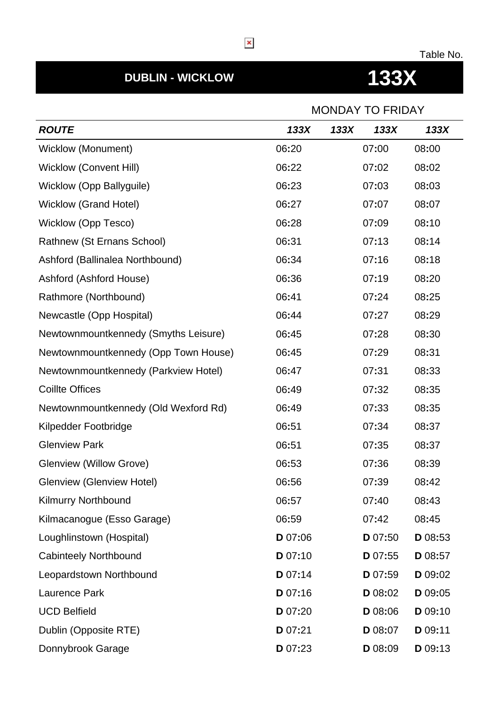### Table No.

# **DUBLIN - WICKLOW 133X**

|                                      | <b>MONDAY TO FRIDAY</b> |      |         |         |
|--------------------------------------|-------------------------|------|---------|---------|
| <b>ROUTE</b>                         | 133X                    | 133X | 133X    | 133X    |
| <b>Wicklow (Monument)</b>            | 06:20                   |      | 07:00   | 08:00   |
| <b>Wicklow (Convent Hill)</b>        | 06:22                   |      | 07:02   | 08:02   |
| Wicklow (Opp Ballyguile)             | 06:23                   |      | 07:03   | 08:03   |
| Wicklow (Grand Hotel)                | 06:27                   |      | 07:07   | 08:07   |
| <b>Wicklow (Opp Tesco)</b>           | 06:28                   |      | 07:09   | 08:10   |
| Rathnew (St Ernans School)           | 06:31                   |      | 07:13   | 08:14   |
| Ashford (Ballinalea Northbound)      | 06:34                   |      | 07:16   | 08:18   |
| Ashford (Ashford House)              | 06:36                   |      | 07:19   | 08:20   |
| Rathmore (Northbound)                | 06:41                   |      | 07:24   | 08:25   |
| Newcastle (Opp Hospital)             | 06:44                   |      | 07:27   | 08:29   |
| Newtownmountkennedy (Smyths Leisure) | 06:45                   |      | 07:28   | 08:30   |
| Newtownmountkennedy (Opp Town House) | 06:45                   |      | 07:29   | 08:31   |
| Newtownmountkennedy (Parkview Hotel) | 06:47                   |      | 07:31   | 08:33   |
| <b>Coillte Offices</b>               | 06:49                   |      | 07:32   | 08:35   |
| Newtownmountkennedy (Old Wexford Rd) | 06:49                   |      | 07:33   | 08:35   |
| Kilpedder Footbridge                 | 06:51                   |      | 07:34   | 08:37   |
| <b>Glenview Park</b>                 | 06:51                   |      | 07:35   | 08:37   |
| <b>Glenview (Willow Grove)</b>       | 06:53                   |      | 07:36   | 08:39   |
| <b>Glenview (Glenview Hotel)</b>     | 06:56                   |      | 07:39   | 08:42   |
| <b>Kilmurry Northbound</b>           | 06:57                   |      | 07:40   | 08:43   |
| Kilmacanogue (Esso Garage)           | 06:59                   |      | 07:42   | 08:45   |
| Loughlinstown (Hospital)             | D 07:06                 |      | D 07:50 | D 08:53 |
| <b>Cabinteely Northbound</b>         | D 07:10                 |      | D 07:55 | D 08:57 |
| Leopardstown Northbound              | D 07:14                 |      | D 07:59 | D 09:02 |
| Laurence Park                        | D 07:16                 |      | D 08:02 | D 09:05 |
| <b>UCD Belfield</b>                  | D 07:20                 |      | D 08:06 | D 09:10 |
| Dublin (Opposite RTE)                | D 07:21                 |      | D 08:07 | D 09:11 |
| Donnybrook Garage                    | D 07:23                 |      | D 08:09 | D 09:13 |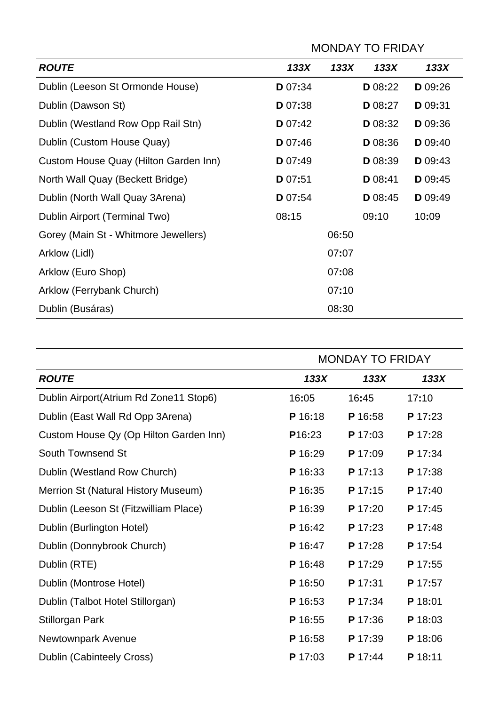|                                       | <b>MONDAY TO FRIDAY</b> |       |         |         |
|---------------------------------------|-------------------------|-------|---------|---------|
| <b>ROUTE</b>                          | 133X                    | 133X  | 133X    | 133X    |
| Dublin (Leeson St Ormonde House)      | D 07:34                 |       | D 08:22 | D 09:26 |
| Dublin (Dawson St)                    | D 07:38                 |       | D 08:27 | D 09:31 |
| Dublin (Westland Row Opp Rail Stn)    | <b>D</b> 07:42          |       | D 08:32 | D 09:36 |
| Dublin (Custom House Quay)            | D 07:46                 |       | D 08:36 | D 09:40 |
| Custom House Quay (Hilton Garden Inn) | D 07:49                 |       | D 08:39 | D 09:43 |
| North Wall Quay (Beckett Bridge)      | D 07:51                 |       | D 08:41 | D 09:45 |
| Dublin (North Wall Quay 3Arena)       | D 07:54                 |       | D 08:45 | D 09:49 |
| Dublin Airport (Terminal Two)         | 08:15                   |       | 09:10   | 10:09   |
| Gorey (Main St - Whitmore Jewellers)  |                         | 06:50 |         |         |
| Arklow (Lidl)                         |                         | 07:07 |         |         |
| Arklow (Euro Shop)                    |                         | 07:08 |         |         |
| Arklow (Ferrybank Church)             |                         | 07:10 |         |         |
| Dublin (Busáras)                      |                         | 08:30 |         |         |

|                                         | <b>MONDAY TO FRIDAY</b> |         |         |  |
|-----------------------------------------|-------------------------|---------|---------|--|
| <b>ROUTE</b>                            | 133X                    | 133X    | 133X    |  |
| Dublin Airport (Atrium Rd Zone11 Stop6) | 16:05                   | 16:45   | 17:10   |  |
| Dublin (East Wall Rd Opp 3Arena)        | P 16:18                 | P 16:58 | P 17:23 |  |
| Custom House Qy (Op Hilton Garden Inn)  | P <sub>16:23</sub>      | P 17:03 | P 17:28 |  |
| <b>South Townsend St</b>                | P 16:29                 | P 17:09 | P 17:34 |  |
| Dublin (Westland Row Church)            | P 16:33                 | P 17:13 | P 17:38 |  |
| Merrion St (Natural History Museum)     | P 16:35                 | P 17:15 | P 17:40 |  |
| Dublin (Leeson St (Fitzwilliam Place)   | P 16:39                 | P 17:20 | P 17:45 |  |
| Dublin (Burlington Hotel)               | P 16:42                 | P 17:23 | P 17:48 |  |
| Dublin (Donnybrook Church)              | P 16:47                 | P 17:28 | P 17:54 |  |
| Dublin (RTE)                            | P 16:48                 | P 17:29 | P 17:55 |  |
| Dublin (Montrose Hotel)                 | P 16:50                 | P 17:31 | P 17:57 |  |
| Dublin (Talbot Hotel Stillorgan)        | P 16:53                 | P 17:34 | P 18:01 |  |
| <b>Stillorgan Park</b>                  | P 16:55                 | P 17:36 | P 18:03 |  |
| Newtownpark Avenue                      | P 16:58                 | P 17:39 | P 18:06 |  |
| Dublin (Cabinteely Cross)               | P 17:03                 | P 17:44 | P 18:11 |  |